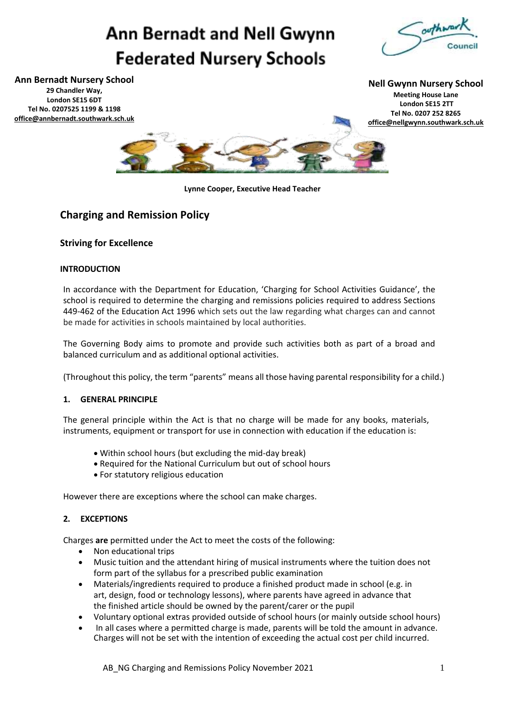# **Ann Bernadt and Nell Gwynn Federated Nursery Schools**



**Ann Bernadt Nursery School 29 Chandler Way, London SE15 6DT Tel No. 0207525 1199 & 1198 [office@annbernadt.southwark.sch.uk](mailto:office@annbernadt.southwark.sch.uk)**

**Nell Gwynn Nursery School Meeting House Lane London SE15 2TT Tel No. 0207 252 8265 [office@nellgwynn.southwark.sch.uk](mailto:office@nellgwynn.southwark.sch.uk)**



**Lynne Cooper, Executive Head Teacher**

### **Charging and Remission Policy**

#### **Striving for Excellence**

#### **INTRODUCTION**

In accordance with the Department for Education, 'Charging for School Activities Guidance', the school is required to determine the charging and remissions policies required to address Sections 449-462 of the Education Act 1996 which sets out the law regarding what charges can and cannot be made for activities in schools maintained by local authorities.

The Governing Body aims to promote and provide such activities both as part of a broad and balanced curriculum and as additional optional activities.

(Throughout this policy, the term "parents" means all those having parental responsibility for a child.)

#### **1. GENERAL PRINCIPLE**

The general principle within the Act is that no charge will be made for any books, materials, instruments, equipment or transport for use in connection with education if the education is:

- Within school hours (but excluding the mid-day break)
- Required for the National Curriculum but out of school hours
- For statutory religious education

However there are exceptions where the school can make charges.

#### **2. EXCEPTIONS**

Charges **are** permitted under the Act to meet the costs of the following:

- Non educational trips
- Music tuition and the attendant hiring of musical instruments where the tuition does not form part of the syllabus for a prescribed public examination
- Materials/ingredients required to produce a finished product made in school (e.g. in art, design, food or technology lessons), where parents have agreed in advance that the finished article should be owned by the parent/carer or the pupil
- Voluntary optional extras provided outside of school hours (or mainly outside school hours)
- In all cases where a permitted charge is made, parents will be told the amount in advance. Charges will not be set with the intention of exceeding the actual cost per child incurred.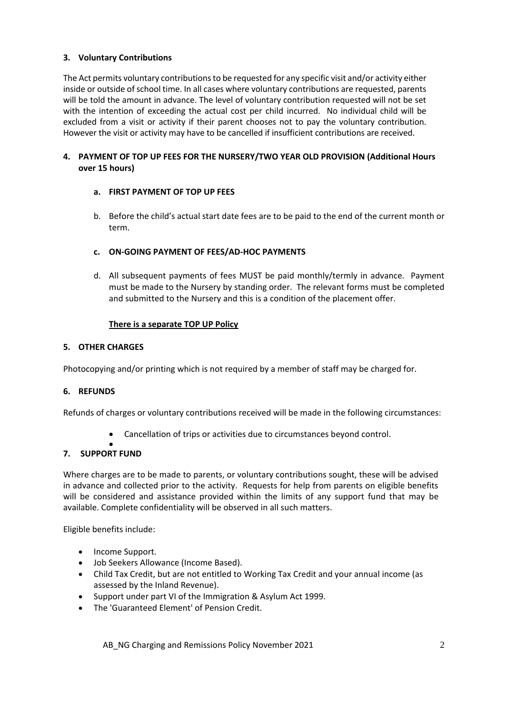#### **3. Voluntary Contributions**

The Act permits voluntary contributions to be requested for any specific visit and/or activity either inside or outside of school time. In all cases where voluntary contributions are requested, parents will be told the amount in advance. The level of voluntary contribution requested will not be set with the intention of exceeding the actual cost per child incurred. No individual child will be excluded from a visit or activity if their parent chooses not to pay the voluntary contribution. However the visit or activity may have to be cancelled if insufficient contributions are received.

#### **4. PAYMENT OF TOP UP FEES FOR THE NURSERY/TWO YEAR OLD PROVISION (Additional Hours over 15 hours)**

#### **a. FIRST PAYMENT OF TOP UP FEES**

b. Before the child's actual start date fees are to be paid to the end of the current month or term.

#### **c. ON-GOING PAYMENT OF FEES/AD-HOC PAYMENTS**

d. All subsequent payments of fees MUST be paid monthly/termly in advance. Payment must be made to the Nursery by standing order. The relevant forms must be completed and submitted to the Nursery and this is a condition of the placement offer.

#### **There is a separate TOP UP Policy**

#### **5. OTHER CHARGES**

Photocopying and/or printing which is not required by a member of staff may be charged for.

#### **6. REFUNDS**

Refunds of charges or voluntary contributions received will be made in the following circumstances:

• Cancellation of trips or activities due to circumstances beyond control.

#### • **7. SUPPORT FUND**

Where charges are to be made to parents, or voluntary contributions sought, these will be advised in advance and collected prior to the activity. Requests for help from parents on eligible benefits will be considered and assistance provided within the limits of any support fund that may be available. Complete confidentiality will be observed in all such matters.

Eligible benefits include:

- Income Support.
- Job Seekers Allowance (Income Based).
- Child Tax Credit, but are not entitled to Working Tax Credit and your annual income (as assessed by the Inland Revenue).
- Support under part VI of the Immigration & Asylum Act 1999.
- The 'Guaranteed Element' of Pension Credit.

AB NG Charging and Remissions Policy November 2021 2012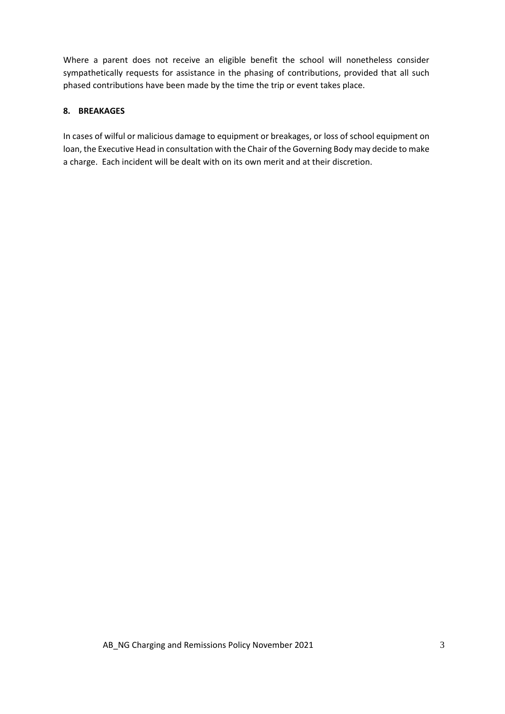Where a parent does not receive an eligible benefit the school will nonetheless consider sympathetically requests for assistance in the phasing of contributions, provided that all such phased contributions have been made by the time the trip or event takes place.

#### **8. BREAKAGES**

In cases of wilful or malicious damage to equipment or breakages, or loss of school equipment on loan, the Executive Head in consultation with the Chair of the Governing Body may decide to make a charge. Each incident will be dealt with on its own merit and at their discretion.